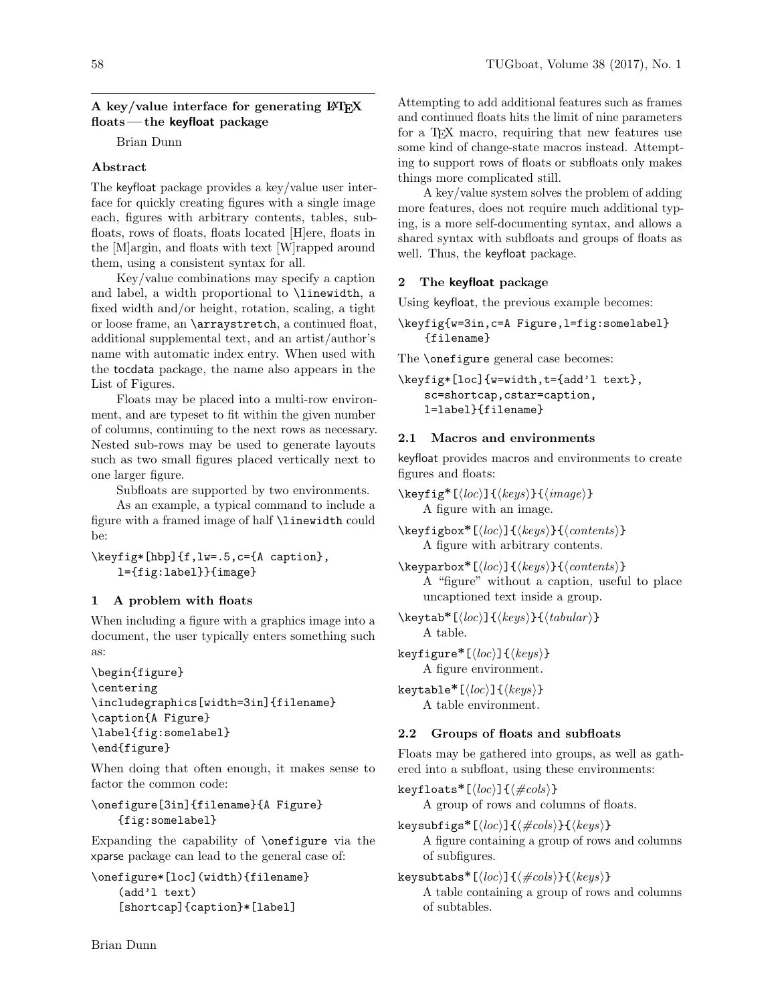# A key/value interface for generating LAT<sub>EX</sub> floats — the keyfloat package

Brian Dunn

## Abstract

The keyfloat package provides a key/value user interface for quickly creating figures with a single image each, figures with arbitrary contents, tables, subfloats, rows of floats, floats located [H]ere, floats in the [M]argin, and floats with text [W]rapped around them, using a consistent syntax for all.

Key/value combinations may specify a caption and label, a width proportional to \linewidth, a fixed width and/or height, rotation, scaling, a tight or loose frame, an \arraystretch, a continued float, additional supplemental text, and an artist/author's name with automatic index entry. When used with the tocdata package, the name also appears in the List of Figures.

Floats may be placed into a multi-row environment, and are typeset to fit within the given number of columns, continuing to the next rows as necessary. Nested sub-rows may be used to generate layouts such as two small figures placed vertically next to one larger figure.

Subfloats are supported by two environments.

As an example, a typical command to include a figure with a framed image of half \linewidth could be:

\keyfig\*[hbp]{f,lw=.5,c={A caption}, l={fig:label}}{image}

# 1 A problem with floats

When including a figure with a graphics image into a document, the user typically enters something such as:

\begin{figure} \centering \includegraphics[width=3in]{filename} \caption{A Figure} \label{fig:somelabel} \end{figure}

When doing that often enough, it makes sense to factor the common code:

\onefigure[3in]{filename}{A Figure} {fig:somelabel}

Expanding the capability of \onefigure via the xparse package can lead to the general case of:

```
\onefigure*[loc](width){filename}
    (add'l text)
    [shortcap]{caption}*[label]
```
Attempting to add additional features such as frames and continued floats hits the limit of nine parameters for a TEX macro, requiring that new features use some kind of change-state macros instead. Attempting to support rows of floats or subfloats only makes things more complicated still.

A key/value system solves the problem of adding more features, does not require much additional typing, is a more self-documenting syntax, and allows a shared syntax with subfloats and groups of floats as well. Thus, the keyfloat package.

# 2 The keyfloat package

Using keyfloat, the previous example becomes:

\keyfig{w=3in,c=A Figure,l=fig:somelabel} {filename}

The \onefigure general case becomes:

```
\keyfig*[loc]{w=width,t={add'l text},
   sc=shortcap,cstar=caption,
   l=label}{filename}
```
## 2.1 Macros and environments

keyfloat provides macros and environments to create figures and floats:

 $\text{keyfig*}[\langle loc \rangle]{\langle \langle keys \rangle}{\langle image \rangle}$ A figure with an image.

 $\text{keyfigbox*}$ [ $\langle loc \rangle$ ]{ $\langle keys \rangle$ }{ $\langle contents \rangle$ } A figure with arbitrary contents.

 $\text{keyparbox*}$ [ $\langle loc \rangle$ ]{ $\langle keys \rangle$ }{ $\langle contents \rangle$ } A "figure" without a caption, useful to place uncaptioned text inside a group.

 $\text{keytab*}$ [ $\langle loc \rangle$ ]{ $\langle \text{keys}$ }{ $\langle \text{tabular} \rangle$ } A table.

keyfigure\*[ $\langle loc \rangle$ ]{ $\langle keys \rangle$ } A figure environment.

keytable\* $[\langle loc \rangle] {\{\langle keys \rangle\}}$ A table environment.

## 2.2 Groups of floats and subfloats

Floats may be gathered into groups, as well as gathered into a subfloat, using these environments:

keyfloats\* $[\langle loc \rangle] {\{\langle \text{\#cols} \rangle\}}$ A group of rows and columns of floats.

keysubfigs\*[ $\langle loc \rangle$ ]{ $\langle \#cols \rangle$ }{ $\langle keys \rangle$ } A figure containing a group of rows and columns of subfigures.

keysubtabs\* $\left[ \left\langle loc \right\rangle \right]$  $\left\{ \left\langle \#cols \right\rangle \right\}$ A table containing a group of rows and columns of subtables.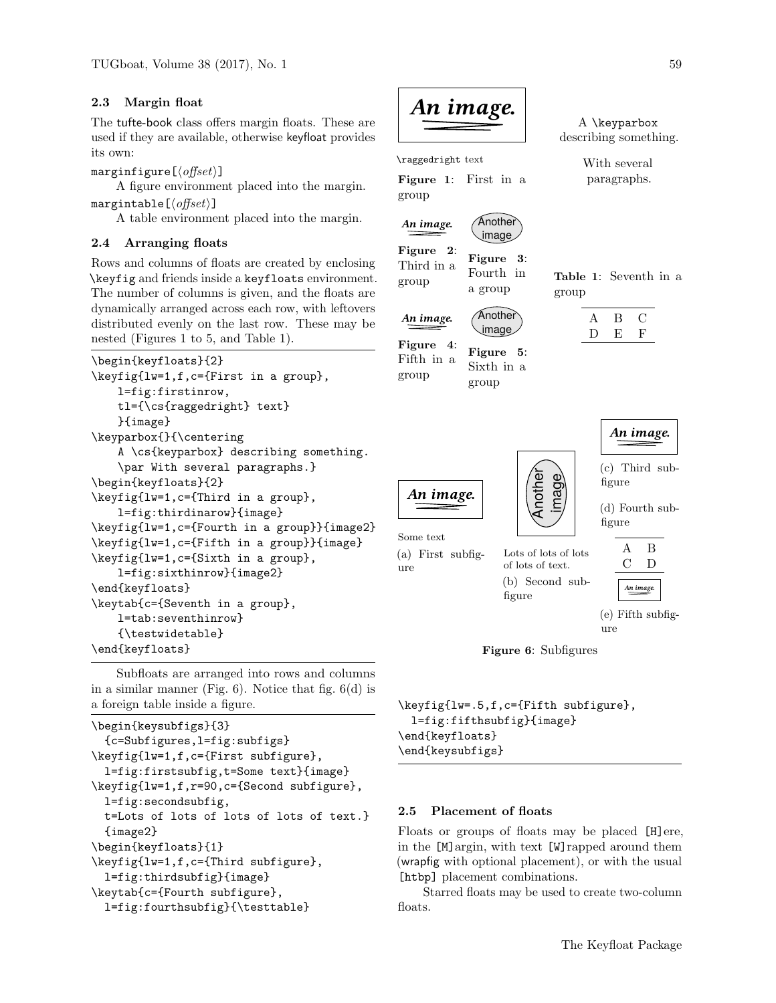### 2.3 Margin float

The tufte-book class offers margin floats. These are used if they are available, otherwise keyfloat provides its own:

marginfigure[ $\langle$ offset}]

A figure environment placed into the margin. margintable  $[\langle \textit{offset} \rangle]$ 

A table environment placed into the margin.

### 2.4 Arranging floats

Rows and columns of floats are created by enclosing \keyfig and friends inside a keyfloats environment. The number of columns is given, and the floats are dynamically arranged across each row, with leftovers distributed evenly on the last row. These may be nested (Figures [1](#page-1-0) to [5,](#page-1-1) and Table [1\)](#page-1-2).

```
\begin{keyfloats}{2}
\keyfig{lw=1,f,c={First in a group},
   l=fig:firstinrow,
    tl={\cs{raggedright} text}
   }{image}
\keyparbox{}{\centering
    A \cs{keyparbox} describing something.
    \par With several paragraphs.}
\begin{keyfloats}{2}
\keyfig{lw=1,c={Third in a group},
    l=fig:thirdinarow}{image}
\keyfig{lw=1,c={Fourth in a group}}{image2}
\keyfig{lw=1,c={Fifth in a group}}{image}
\keyfig{lw=1,c={Sixth in a group},
   l=fig:sixthinrow}{image2}
\end{keyfloats}
\keytab{c={Seventh in a group},
    l=tab:seventhinrow}
    {\testwidetable}
\end{keyfloats}
```
Subfloats are arranged into rows and columns in a similar manner (Fig. [6\)](#page-1-3). Notice that fig. [6\(](#page-1-3)d) is a foreign table inside a figure.

```
\begin{keysubfigs}{3}
  {c=Subfigures,l=fig:subfigs}
\keyfig{lw=1,f,c={First subfigure},
  l=fig:firstsubfig,t=Some text}{image}
\keyfig{lw=1,f,r=90,c={Second subfigure},
  l=fig:secondsubfig,
  t=Lots of lots of lots of lots of text.}
  {image2}
\begin{keyfloats}{1}
\keyfig{lw=1,f,c={Third subfigure},
  l=fig:thirdsubfig}{image}
\keytab{c={Fourth subfigure},
  l=fig:fourthsubfig}{\testtable}
```
<span id="page-1-0"></span>

Figure 1: First in a group

\raggedright text

group

group

ure

(a) First subfig-



Third in a Figure 3: Fourth in a group

<span id="page-1-1"></span>

Fifth in a Figure 5: Sixth in a group

<span id="page-1-2"></span>Table 1: Seventh in a group

A \keyparbox describing something.

> With several paragraphs.

<span id="page-1-3"></span>

| An image. |  |
|-----------|--|
| Some text |  |

(c) Third subfigure (d) Fourth subfigure

A B C D

*An image.*

(b) Second subfigure

Lots of lots of lots of lots of text.

**other** image

> (e) Fifth subfigure

*An image.*

Figure 6: Subfigures

```
\keyfig{lw=.5,f,c={Fifth subfigure},
 l=fig:fifthsubfig}{image}
\end{keyfloats}
\end{keysubfigs}
```
### 2.5 Placement of floats

Floats or groups of floats may be placed [H]ere, in the [M]argin, with text [W]rapped around them (wrapfig with optional placement), or with the usual [htbp] placement combinations.

Starred floats may be used to create two-column floats.